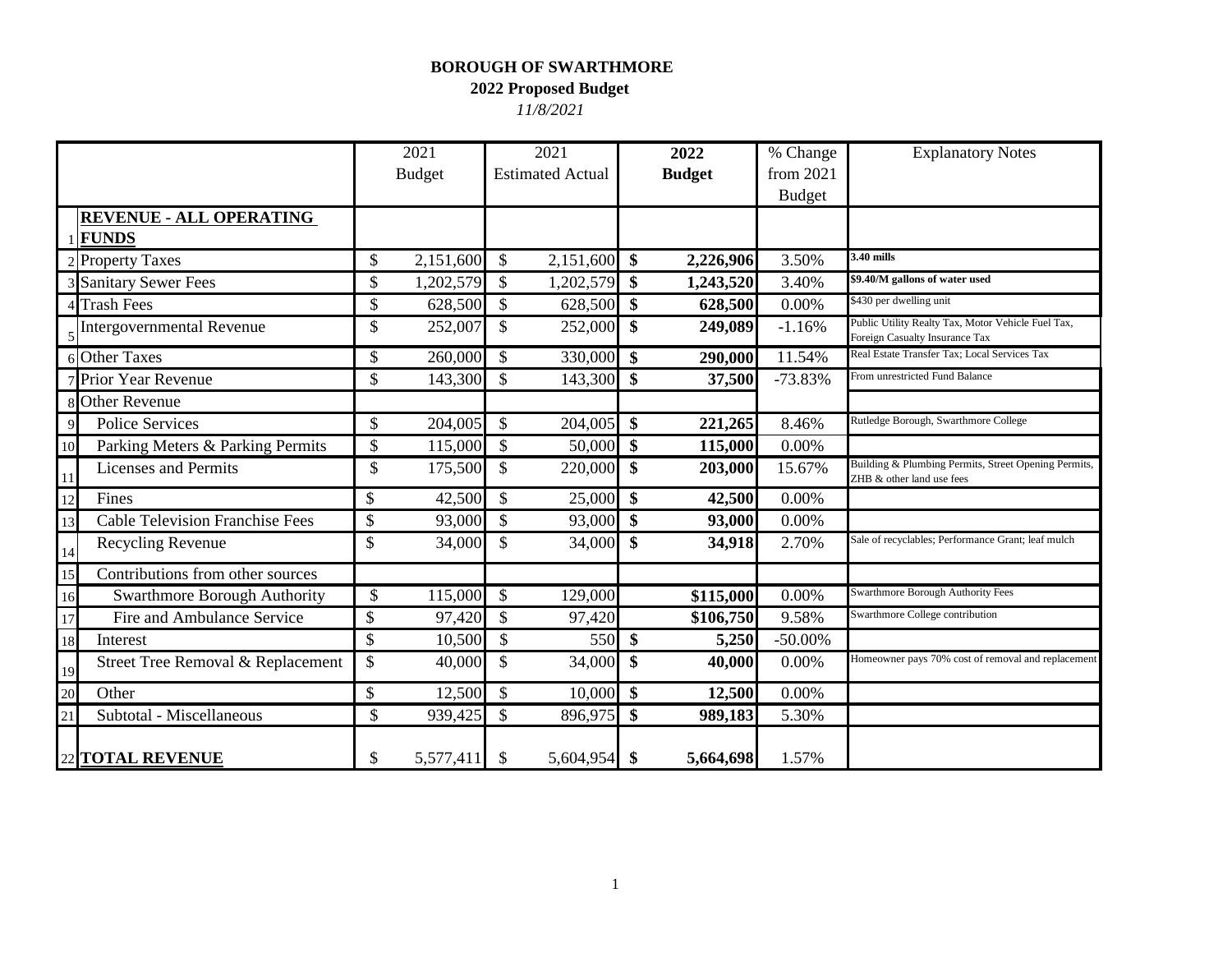## **BOROUGH OF SWARTHMORE**

**2022 Proposed Budget** 

*11/8/2021*

|    |                                        | 2021            |               | 2021                    |                           | 2022          | % Change      | <b>Explanatory Notes</b>                                                             |
|----|----------------------------------------|-----------------|---------------|-------------------------|---------------------------|---------------|---------------|--------------------------------------------------------------------------------------|
|    |                                        | <b>Budget</b>   |               | <b>Estimated Actual</b> |                           | <b>Budget</b> | from 2021     |                                                                                      |
|    |                                        |                 |               |                         |                           |               | <b>Budget</b> |                                                                                      |
|    | <b>REVENUE - ALL OPERATING</b>         |                 |               |                         |                           |               |               |                                                                                      |
|    | <b>FUNDS</b>                           |                 |               |                         |                           |               |               |                                                                                      |
|    | <b>Property Taxes</b>                  | \$<br>2,151,600 | \$            | 2,151,600 \$            |                           | 2,226,906     | 3.50%         | 3.40 mills                                                                           |
|    | 3 Sanitary Sewer Fees                  | \$<br>1,202,579 | \$            | 1,202,579               | \$                        | 1,243,520     | 3.40%         | \$9.40/M gallons of water used                                                       |
|    | <b>Trash Fees</b>                      | \$<br>628,500   | $\mathcal{S}$ | 628,500 \$              |                           | 628,500       | 0.00%         | \$430 per dwelling unit                                                              |
|    | <b>Intergovernmental Revenue</b>       | \$<br>252,007   | \$            | 252,000                 | \$                        | 249,089       | $-1.16%$      | Public Utility Realty Tax, Motor Vehicle Fuel Tax,<br>Foreign Casualty Insurance Tax |
|    | 6 Other Taxes                          | \$<br>260,000   | \$            | 330,000                 | \$                        | 290,000       | 11.54%        | Real Estate Transfer Tax; Local Services Tax                                         |
|    | Prior Year Revenue                     | \$<br>143,300   | $\mathcal{S}$ | 143,300                 | $\boldsymbol{\mathsf{s}}$ | 37,500        | $-73.83%$     | From unrestricted Fund Balance                                                       |
|    | <b>Other Revenue</b>                   |                 |               |                         |                           |               |               |                                                                                      |
|    | <b>Police Services</b>                 | \$<br>204,005   | \$            | 204,005                 | \$                        | 221,265       | 8.46%         | Rutledge Borough, Swarthmore College                                                 |
| 10 | Parking Meters & Parking Permits       | \$<br>115,000   | $\mathcal{S}$ | 50,000 \$               |                           | 115,000       | 0.00%         |                                                                                      |
| 11 | <b>Licenses and Permits</b>            | \$<br>175,500   | $\mathbb{S}$  | 220,000                 | $\mathbf{\$}$             | 203,000       | 15.67%        | Building & Plumbing Permits, Street Opening Permits,<br>ZHB & other land use fees    |
| 12 | Fines                                  | \$<br>42,500    | $\mathcal{S}$ | 25,000                  | $\mathbf{\$}$             | 42,500        | 0.00%         |                                                                                      |
| 13 | <b>Cable Television Franchise Fees</b> | \$<br>93,000    | \$            | 93,000                  | $\sqrt[6]{\frac{1}{2}}$   | 93,000        | 0.00%         |                                                                                      |
| 14 | Recycling Revenue                      | \$<br>34,000    | $\mathbb{S}$  | 34,000                  | \$                        | 34,918        | 2.70%         | Sale of recyclables; Performance Grant; leaf mulch                                   |
| 15 | Contributions from other sources       |                 |               |                         |                           |               |               |                                                                                      |
| 16 | <b>Swarthmore Borough Authority</b>    | \$<br>115,000   | $\mathcal{S}$ | 129,000                 |                           | \$115,000     | 0.00%         | <b>Swarthmore Borough Authority Fees</b>                                             |
| 17 | Fire and Ambulance Service             | \$<br>97,420    | \$            | 97,420                  |                           | \$106,750     | 9.58%         | Swarthmore College contribution                                                      |
| 18 | <b>Interest</b>                        | \$<br>10,500    | $\mathbb{S}$  | 550                     | $\boldsymbol{\mathsf{s}}$ | 5,250         | $-50.00\%$    |                                                                                      |
| 19 | Street Tree Removal & Replacement      | \$<br>40,000    | \$            | 34,000                  | \$                        | 40,000        | 0.00%         | Homeowner pays 70% cost of removal and replacement                                   |
| 20 | Other                                  | \$<br>12,500    | \$            | 10,000                  | \$                        | 12,500        | 0.00%         |                                                                                      |
| 21 | Subtotal - Miscellaneous               | \$<br>939,425   | \$            | 896,975                 | \$                        | 989,183       | 5.30%         |                                                                                      |
|    | 22 TOTAL REVENUE                       | \$<br>5,577,411 | \$            | 5,604,954               | $\boldsymbol{\$}$         | 5,664,698     | 1.57%         |                                                                                      |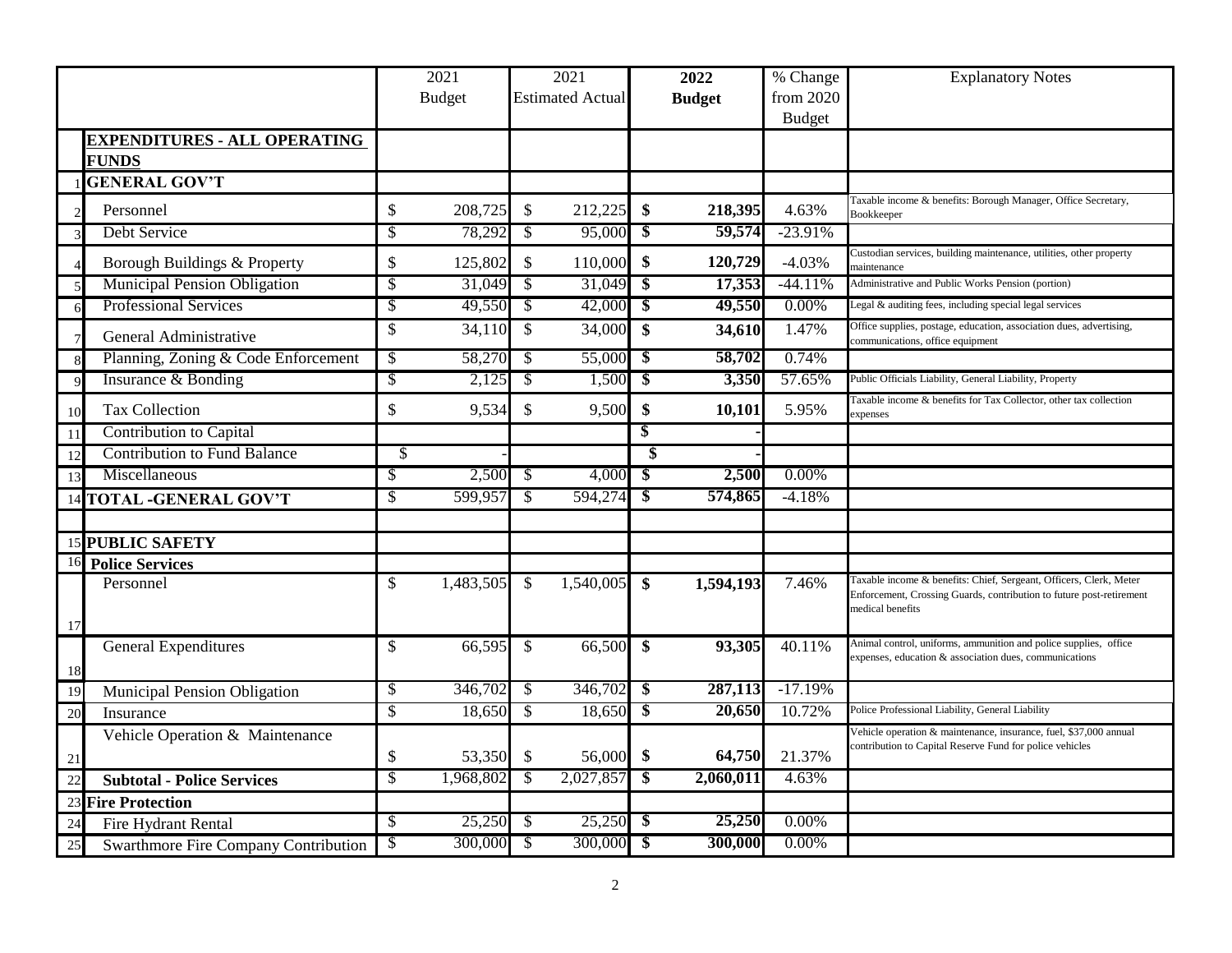|                                            |                           | 2021          | 2021                       |           |                                       | 2022          | % Change      | <b>Explanatory Notes</b>                                                                                                                                       |
|--------------------------------------------|---------------------------|---------------|----------------------------|-----------|---------------------------------------|---------------|---------------|----------------------------------------------------------------------------------------------------------------------------------------------------------------|
|                                            |                           | <b>Budget</b> | <b>Estimated Actual</b>    |           |                                       | <b>Budget</b> | from 2020     |                                                                                                                                                                |
|                                            |                           |               |                            |           |                                       |               | <b>Budget</b> |                                                                                                                                                                |
| <b>EXPENDITURES - ALL OPERATING</b>        |                           |               |                            |           |                                       |               |               |                                                                                                                                                                |
| <b>FUNDS</b>                               |                           |               |                            |           |                                       |               |               |                                                                                                                                                                |
| <b>GENERAL GOV'T</b>                       |                           |               |                            |           |                                       |               |               |                                                                                                                                                                |
| Personnel                                  | \$                        | 208,725       | $\sqrt[6]{\frac{1}{2}}$    | 212,225   | \$                                    | 218,395       | 4.63%         | Taxable income & benefits: Borough Manager, Office Secretary,<br>Bookkeeper                                                                                    |
| Debt Service<br>3                          | $\sqrt{2}$                | 78,292        | $\sqrt{3}$                 | 95,000    | $\sqrt[3]{3}$                         | 59,574        | $-23.91%$     |                                                                                                                                                                |
| Borough Buildings & Property               | \$                        | 125,802       | $\sqrt{3}$                 | 110,000   | \$                                    | 120,729       | $-4.03%$      | Custodian services, building maintenance, utilities, other property<br>maintenance                                                                             |
| <b>Municipal Pension Obligation</b><br>5   | $\boldsymbol{\mathsf{S}}$ | 31,049        | $\overline{\mathcal{S}}$   | 31,049    | $\overline{\boldsymbol{\mathcal{S}}}$ | 17,353        | $-44.11%$     | Administrative and Public Works Pension (portion)                                                                                                              |
| <b>Professional Services</b><br>6          | $\sqrt{2}$                | 49,550        | $\sqrt{3}$                 | 42,000    | $\overline{\bullet}$                  | 49,550        | $0.00\%$      | Legal & auditing fees, including special legal services                                                                                                        |
| General Administrative<br>$\overline{7}$   | \$                        | 34,110        | $\mathcal{S}$              | 34,000    | $\boldsymbol{\mathsf{s}}$             | 34,610        | 1.47%         | Office supplies, postage, education, association dues, advertising,<br>communications, office equipment                                                        |
| Planning, Zoning & Code Enforcement<br>8   | \$                        | 58,270        | - \$                       | 55,000    | -\$                                   | 58,702        | 0.74%         |                                                                                                                                                                |
| Insurance & Bonding<br>9                   | $\sqrt{2}$                | 2,125         | $\boldsymbol{\mathcal{S}}$ | 1,500     | $\overline{\mathbf{3}}$               | 3,350         | 57.65%        | Public Officials Liability, General Liability, Property                                                                                                        |
| <b>Tax Collection</b><br>10                | \$                        | 9,534         | \$                         | 9,500     | \$                                    | 10,101        | 5.95%         | Faxable income & benefits for Tax Collector, other tax collection<br>expenses                                                                                  |
| Contribution to Capital<br><sup>11</sup>   |                           |               |                            |           | \$                                    |               |               |                                                                                                                                                                |
| <b>Contribution to Fund Balance</b><br>12  | \$                        |               |                            |           | \$                                    |               |               |                                                                                                                                                                |
| Miscellaneous<br>13                        | \$                        | 2,500         | -\$                        | 4,000     | -\$                                   | 2,500         | $0.00\%$      |                                                                                                                                                                |
| <b>TOTAL -GENERAL GOV'T</b><br>14          | \$                        | 599,957       | -\$                        | 594,274   | $\overline{\boldsymbol{\mathcal{S}}}$ | 574,865       | $-4.18%$      |                                                                                                                                                                |
|                                            |                           |               |                            |           |                                       |               |               |                                                                                                                                                                |
| <b>15 PUBLIC SAFETY</b>                    |                           |               |                            |           |                                       |               |               |                                                                                                                                                                |
| 16<br><b>Police Services</b>               |                           |               |                            |           |                                       |               |               |                                                                                                                                                                |
| Personnel<br>17                            | \$                        | 1,483,505     | -S                         | 1,540,005 | $\boldsymbol{\mathsf{s}}$             | 1,594,193     | 7.46%         | Taxable income & benefits: Chief, Sergeant, Officers, Clerk, Meter<br>Enforcement, Crossing Guards, contribution to future post-retirement<br>medical benefits |
| <b>General Expenditures</b><br>-18         | \$                        | 66,595        | $\mathcal{S}$              | 66,500    | $\boldsymbol{\mathsf{s}}$             | 93,305        | 40.11%        | Animal control, uniforms, ammunition and police supplies, office<br>expenses, education & association dues, communications                                     |
| 19<br>Municipal Pension Obligation         | \$                        | 346,702       | $\sqrt{3}$                 | 346,702   | $\boldsymbol{\mathsf{s}}$             | 287,113       | $-17.19%$     |                                                                                                                                                                |
| 20<br>Insurance                            | \$                        | 18,650        | $\mathcal{S}$              | 18,650    | $\overline{\$}$                       | 20,650        | 10.72%        | Police Professional Liability, General Liability                                                                                                               |
| Vehicle Operation & Maintenance<br>21      | \$                        | 53,350        | - \$                       | 56,000    | \$                                    | 64,750        | 21.37%        | Vehicle operation & maintenance, insurance, fuel, \$37,000 annual<br>contribution to Capital Reserve Fund for police vehicles                                  |
| <b>Subtotal - Police Services</b><br>22    | $\overline{\mathcal{S}}$  | 1,968,802     | $\overline{\mathcal{S}}$   | 2,027,857 | $\overline{\mathbf{s}}$               | 2,060,011     | 4.63%         |                                                                                                                                                                |
| <b>Fire Protection</b><br>23               |                           |               |                            |           |                                       |               |               |                                                                                                                                                                |
| Fire Hydrant Rental<br>24                  | \$                        | 25,250        | - \$                       | 25,250    | - \$                                  | 25,250        | 0.00%         |                                                                                                                                                                |
| Swarthmore Fire Company Contribution<br>25 | \$                        | 300,000       | $\overline{\mathcal{S}}$   | 300,000   | $\sqrt[3]{2}$                         | 300,000       | 0.00%         |                                                                                                                                                                |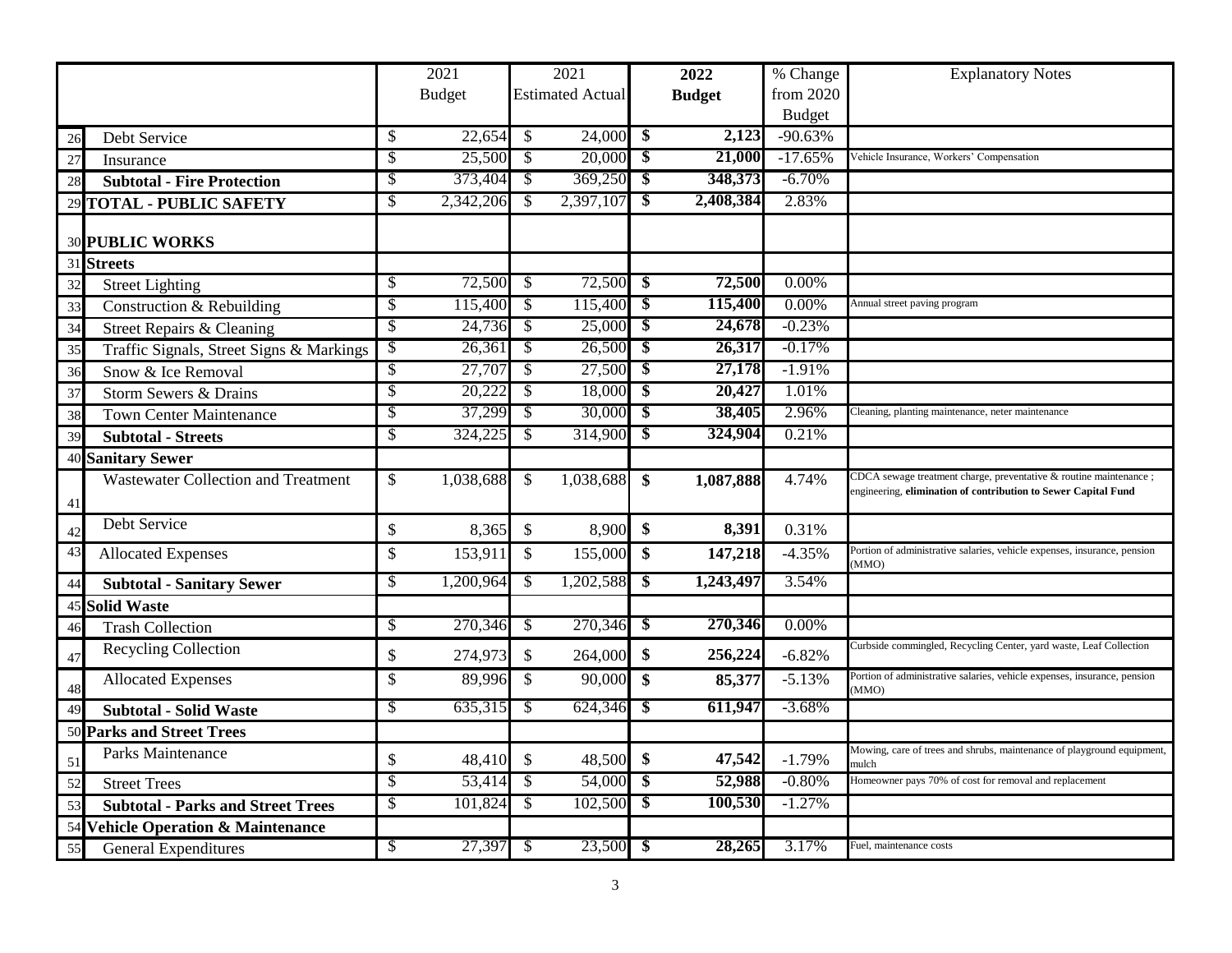|    |                                          |                           | 2021          |                           | 2021                    |                           | 2022          | % Change      | <b>Explanatory Notes</b>                                                                                                             |
|----|------------------------------------------|---------------------------|---------------|---------------------------|-------------------------|---------------------------|---------------|---------------|--------------------------------------------------------------------------------------------------------------------------------------|
|    |                                          |                           | <b>Budget</b> |                           | <b>Estimated Actual</b> |                           | <b>Budget</b> | from 2020     |                                                                                                                                      |
|    |                                          |                           |               |                           |                         |                           |               | <b>Budget</b> |                                                                                                                                      |
| 26 | Debt Service                             | $\boldsymbol{\mathsf{S}}$ | 22,654        | $\mathcal{S}$             | 24,000                  | $\frac{1}{2}$             | 2,123         | $-90.63%$     |                                                                                                                                      |
| 27 | Insurance                                | $\mathcal{S}$             | 25,500        | $\mathcal{S}$             | 20,000                  | $\boldsymbol{\mathsf{s}}$ | 21,000        | $-17.65%$     | Vehicle Insurance, Workers' Compensation                                                                                             |
| 28 | <b>Subtotal - Fire Protection</b>        | $\sqrt{\frac{2}{\pi}}$    | 373,404       | $\sqrt[6]{\frac{1}{2}}$   | 369,250                 | $\boldsymbol{\$}$         | 348,373       | $-6.70%$      |                                                                                                                                      |
|    | 29 TOTAL - PUBLIC SAFETY                 | $\sqrt{\frac{2}{\pi}}$    | 2,342,206     | $\sqrt[6]{\frac{1}{2}}$   | 2,397,107               | $\boldsymbol{\$}$         | 2,408,384     | 2.83%         |                                                                                                                                      |
|    | <b>30 PUBLIC WORKS</b>                   |                           |               |                           |                         |                           |               |               |                                                                                                                                      |
|    | 31 Streets                               |                           |               |                           |                         |                           |               |               |                                                                                                                                      |
| 32 | <b>Street Lighting</b>                   | \$                        | 72,500        | -\$                       | 72,500                  | -\$                       | 72,500        | $0.00\%$      |                                                                                                                                      |
| 33 | Construction & Rebuilding                | \$                        | 115,400       | -\$                       | 115,400                 | $\overline{\mathbf{s}}$   | 115,400       | 0.00%         | Annual street paving program                                                                                                         |
| 34 | Street Repairs & Cleaning                | \$                        | 24,736        | $\sqrt{3}$                | 25,000                  | $\overline{\bullet}$      | 24,678        | $-0.23%$      |                                                                                                                                      |
| 35 | Traffic Signals, Street Signs & Markings | $\sqrt[6]{\frac{1}{2}}$   | 26,361        | -\$                       | 26,500                  | $\overline{\mathbf{s}}$   | 26,317        | $-0.17%$      |                                                                                                                                      |
| 36 | Snow & Ice Removal                       | $\overline{\mathcal{S}}$  | 27,707        | $\mathcal{S}$             | 27,500                  | $\overline{\mathbf{s}}$   | 27,178        | $-1.91%$      |                                                                                                                                      |
| 37 | Storm Sewers & Drains                    | $\overline{\mathcal{S}}$  | 20,222        | $\mathcal{S}$             | 18,000                  | $\overline{\$}$           | 20,427        | 1.01%         |                                                                                                                                      |
| 38 | <b>Town Center Maintenance</b>           | $\overline{\mathcal{S}}$  | 37,299        | $\sqrt[6]{3}$             | 30,000                  | $\boldsymbol{\$}$         | 38,405        | 2.96%         | Cleaning, planting maintenance, neter maintenance                                                                                    |
| 39 | <b>Subtotal - Streets</b>                | $\mathcal{S}$             | 324,225       | $\mathcal{S}$             | 314,900                 | $\overline{\mathbf{3}}$   | 324,904       | 0.21%         |                                                                                                                                      |
|    | 40 Sanitary Sewer                        |                           |               |                           |                         |                           |               |               |                                                                                                                                      |
| 41 | Wastewater Collection and Treatment      | $\boldsymbol{\mathsf{S}}$ | 1,038,688     | $\mathcal{S}$             | 1,038,688               | $\boldsymbol{\$}$         | 1,087,888     | 4.74%         | CDCA sewage treatment charge, preventative & routine maintenance ;<br>engineering, elimination of contribution to Sewer Capital Fund |
| 42 | Debt Service                             | \$                        | 8,365         | $\boldsymbol{\mathsf{S}}$ | 8,900                   | \$                        | 8,391         | 0.31%         |                                                                                                                                      |
| 43 | <b>Allocated Expenses</b>                | \$                        | 153,911       | $\mathcal{S}$             | 155,000                 | $\boldsymbol{\$}$         | 147,218       | $-4.35%$      | Portion of administrative salaries, vehicle expenses, insurance, pension<br>(MMO)                                                    |
| 44 | <b>Subtotal - Sanitary Sewer</b>         | $\mathcal{S}$             | 1,200,964     | -\$                       | 1,202,588               | \$                        | 1,243,497     | 3.54%         |                                                                                                                                      |
|    | <b>45 Solid Waste</b>                    |                           |               |                           |                         |                           |               |               |                                                                                                                                      |
| 46 | <b>Trash Collection</b>                  | $\boldsymbol{\mathsf{S}}$ | 270,346       | $\overline{\mathcal{S}}$  | 270,346                 | $\overline{\mathbf{S}}$   | 270,346       | $0.00\%$      |                                                                                                                                      |
| 47 | Recycling Collection                     | \$                        | 274,973       | $\mathcal{S}$             | 264,000                 | \$                        | 256,224       | $-6.82%$      | Curbside commingled, Recycling Center, yard waste, Leaf Collection                                                                   |
| 48 | <b>Allocated Expenses</b>                | $\mathcal{S}$             | 89,996        | $\mathcal{S}$             | 90,000                  | $\mathbf{\$}$             | 85,377        | $-5.13%$      | Portion of administrative salaries, vehicle expenses, insurance, pension<br>(MMO)                                                    |
| 49 | <b>Subtotal - Solid Waste</b>            | $\overline{\mathcal{S}}$  | 635,315       | -\$                       | 624,346                 | $\boldsymbol{\$}$         | 611,947       | $-3.68%$      |                                                                                                                                      |
|    | 50 Parks and Street Trees                |                           |               |                           |                         |                           |               |               |                                                                                                                                      |
| 51 | <b>Parks Maintenance</b>                 | \$                        | 48,410        | $\mathcal{S}$             | 48,500                  | \$                        | 47,542        | $-1.79%$      | Mowing, care of trees and shrubs, maintenance of playground equipment,<br>mulch                                                      |
| 52 | <b>Street Trees</b>                      | \$                        | 53,414        | -\$                       | 54,000                  | $\boldsymbol{\mathsf{s}}$ | 52,988        | $-0.80%$      | Homeowner pays 70% of cost for removal and replacement                                                                               |
| 53 | <b>Subtotal - Parks and Street Trees</b> | $\boldsymbol{\mathsf{S}}$ | 101,824       | $\sqrt[6]{\frac{1}{2}}$   | 102,500                 | \$                        | 100,530       | $-1.27%$      |                                                                                                                                      |
|    | 54 Vehicle Operation & Maintenance       |                           |               |                           |                         |                           |               |               |                                                                                                                                      |
| 55 | <b>General Expenditures</b>              | \$                        | 27,397        | -\$                       | 23,500                  | - \$                      | 28,265        | 3.17%         | Fuel, maintenance costs                                                                                                              |